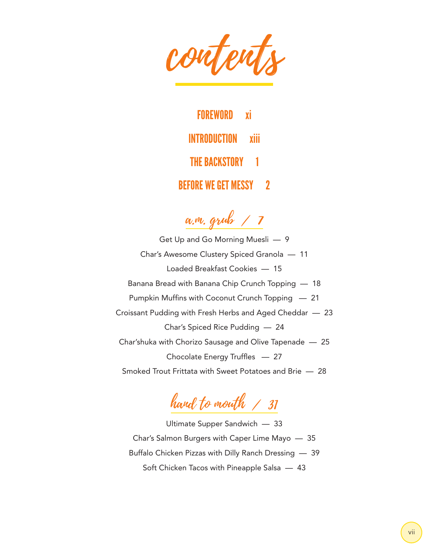contents

FOREWORD xi INTRODUCTION xiii THE BACKSTORY 1 BEFORE WE GET MESSY 2

a.m. grub / 7

Get Up and Go Morning Muesli — 9 Char's Awesome Clustery Spiced Granola — 11 Loaded Breakfast Cookies — 15 Banana Bread with Banana Chip Crunch Topping — 18 Pumpkin Muffins with Coconut Crunch Topping — 21 Croissant Pudding with Fresh Herbs and Aged Cheddar — 23 Char's Spiced Rice Pudding — 24 Char'shuka with Chorizo Sausage and Olive Tapenade — 25 Chocolate Energy Truffles — 27 Smoked Trout Frittata with Sweet Potatoes and Brie — 28

hand to mouth / 31

Ultimate Supper Sandwich — 33 Char's Salmon Burgers with Caper Lime Mayo — 35 Buffalo Chicken Pizzas with Dilly Ranch Dressing — 39 Soft Chicken Tacos with Pineapple Salsa — 43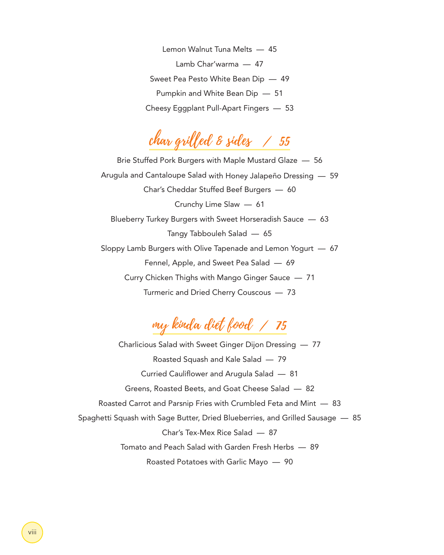Lemon Walnut Tuna Melts — 45 Lamb Char'warma — 47 Sweet Pea Pesto White Bean Dip — 49 Pumpkin and White Bean Dip — 51 Cheesy Eggplant Pull-Apart Fingers — 53

char grilled & sides / 55

Brie Stuffed Pork Burgers with Maple Mustard Glaze — 56 Arugula and Cantaloupe Salad with Honey Jalapeño Dressing — 59 Char's Cheddar Stuffed Beef Burgers — 60 Crunchy Lime Slaw — 61 Blueberry Turkey Burgers with Sweet Horseradish Sauce — 63 Tangy Tabbouleh Salad — 65 Sloppy Lamb Burgers with Olive Tapenade and Lemon Yogurt — 67 Fennel, Apple, and Sweet Pea Salad — 69 Curry Chicken Thighs with Mango Ginger Sauce — 71 Turmeric and Dried Cherry Couscous — 73

my kinda diet food / 75

Charlicious Salad with Sweet Ginger Dijon Dressing — 77 Roasted Squash and Kale Salad — 79 Curried Cauliflower and Arugula Salad — 81 Greens, Roasted Beets, and Goat Cheese Salad — 82 Roasted Carrot and Parsnip Fries with Crumbled Feta and Mint — 83 Spaghetti Squash with Sage Butter, Dried Blueberries, and Grilled Sausage — 85 Char's Tex-Mex Rice Salad — 87 Tomato and Peach Salad with Garden Fresh Herbs — 89 Roasted Potatoes with Garlic Mayo — 90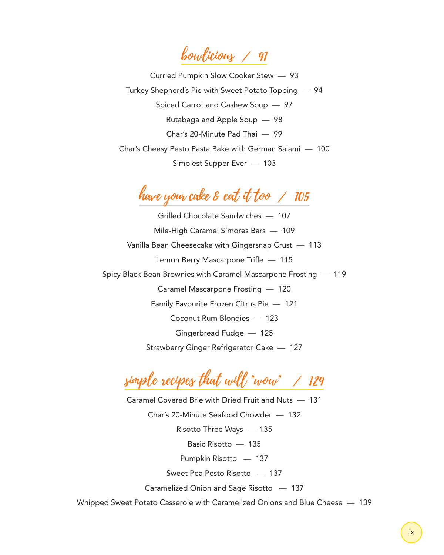bowlicious / 91

Curried Pumpkin Slow Cooker Stew — 93 Turkey Shepherd's Pie with Sweet Potato Topping — 94 Spiced Carrot and Cashew Soup — 97 Rutabaga and Apple Soup — 98 Char's 20-Minute Pad Thai — 99 Char's Cheesy Pesto Pasta Bake with German Salami — 100 Simplest Supper Ever — 103

## have your cake & eat it too / 105

Grilled Chocolate Sandwiches — 107 Mile-High Caramel S'mores Bars — 109 Vanilla Bean Cheesecake with Gingersnap Crust — 113 Lemon Berry Mascarpone Trifle — 115 Spicy Black Bean Brownies with Caramel Mascarpone Frosting — 119 Caramel Mascarpone Frosting — 120 Family Favourite Frozen Citrus Pie — 121 Coconut Rum Blondies — 123 Gingerbread Fudge — 125 Strawberry Ginger Refrigerator Cake — 127

simple recipes that will "wow" / 129

Caramel Covered Brie with Dried Fruit and Nuts — 131 Char's 20-Minute Seafood Chowder — 132 Risotto Three Ways — 135 Basic Risotto — 135 Pumpkin Risotto — 137 Sweet Pea Pesto Risotto — 137 Caramelized Onion and Sage Risotto — 137

Whipped Sweet Potato Casserole with Caramelized Onions and Blue Cheese — 139